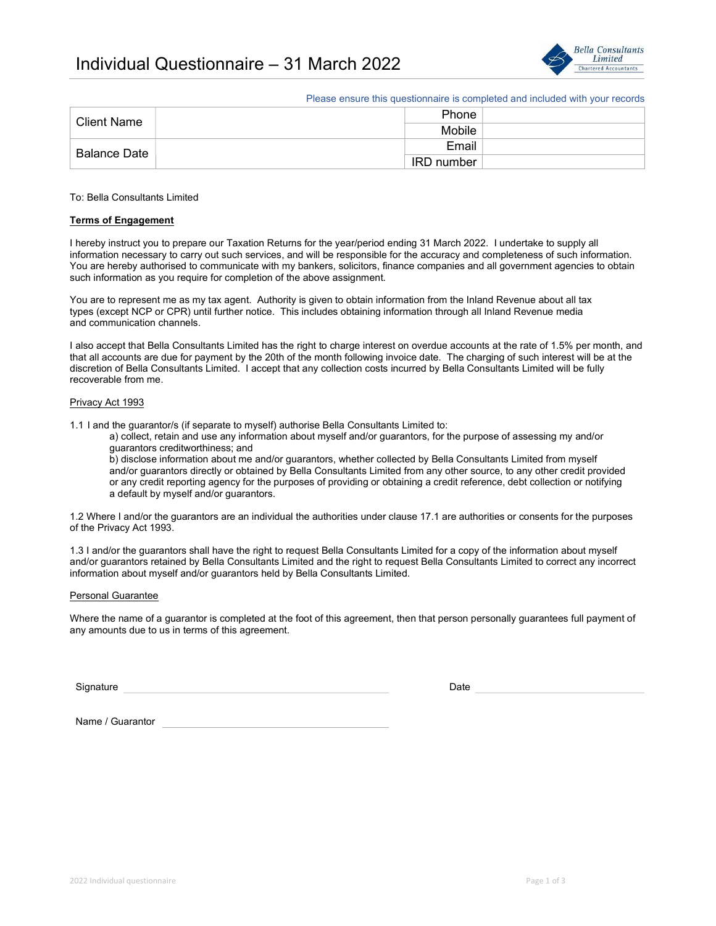

Please ensure this questionnaire is completed and included with your records

| <b>Client Name</b>          | Phone      |  |
|-----------------------------|------------|--|
|                             | Mobile     |  |
| ⊦ Balance Date <sup>⊣</sup> | Email      |  |
|                             | IRD number |  |

### To: Bella Consultants Limited

### Terms of Engagement

I hereby instruct you to prepare our Taxation Returns for the year/period ending 31 March 2022. I undertake to supply all information necessary to carry out such services, and will be responsible for the accuracy and completeness of such information. You are hereby authorised to communicate with my bankers, solicitors, finance companies and all government agencies to obtain such information as you require for completion of the above assignment.

You are to represent me as my tax agent. Authority is given to obtain information from the Inland Revenue about all tax types (except NCP or CPR) until further notice. This includes obtaining information through all Inland Revenue media and communication channels.

I also accept that Bella Consultants Limited has the right to charge interest on overdue accounts at the rate of 1.5% per month, and that all accounts are due for payment by the 20th of the month following invoice date. The charging of such interest will be at the discretion of Bella Consultants Limited. I accept that any collection costs incurred by Bella Consultants Limited will be fully recoverable from me.

#### Privacy Act 1993

1.1 I and the guarantor/s (if separate to myself) authorise Bella Consultants Limited to:

 a) collect, retain and use any information about myself and/or guarantors, for the purpose of assessing my and/or guarantors creditworthiness; and

 b) disclose information about me and/or guarantors, whether collected by Bella Consultants Limited from myself and/or guarantors directly or obtained by Bella Consultants Limited from any other source, to any other credit provided or any credit reporting agency for the purposes of providing or obtaining a credit reference, debt collection or notifying a default by myself and/or guarantors.

1.2 Where I and/or the guarantors are an individual the authorities under clause 17.1 are authorities or consents for the purposes of the Privacy Act 1993.

1.3 I and/or the guarantors shall have the right to request Bella Consultants Limited for a copy of the information about myself and/or guarantors retained by Bella Consultants Limited and the right to request Bella Consultants Limited to correct any incorrect information about myself and/or guarantors held by Bella Consultants Limited.

#### Personal Guarantee

Where the name of a guarantor is completed at the foot of this agreement, then that person personally guarantees full payment of any amounts due to us in terms of this agreement.

Signature Date Date of the Date of the Date of the Date of the Date of the Date of the Date of the Date of the

Name / Guarantor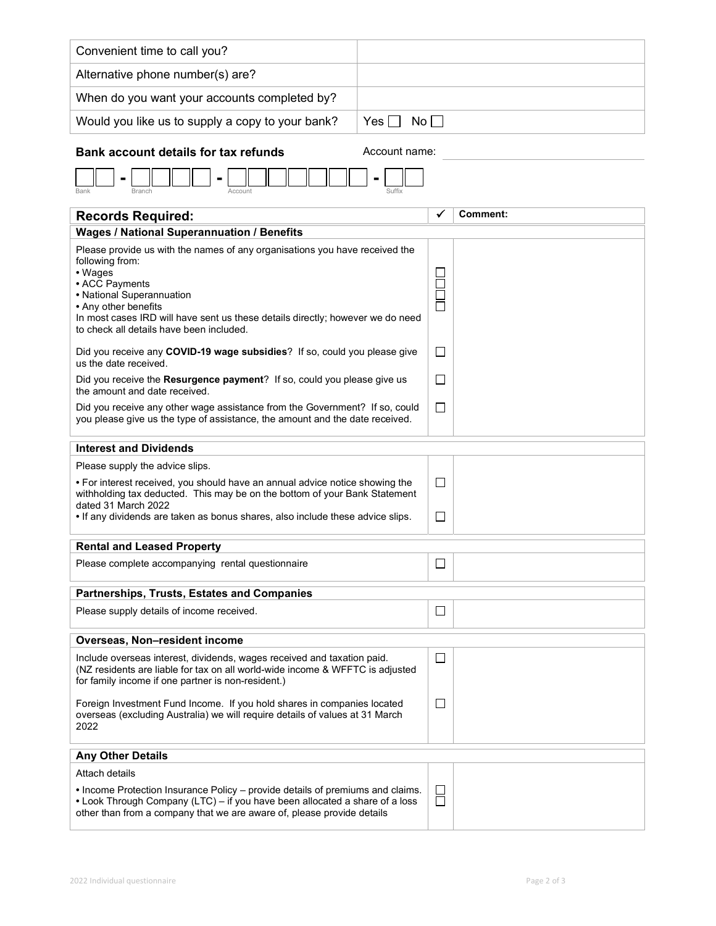| Convenient time to call you?                                                                                                                                                                                                                                                                                   |           |             |                 |  |  |  |
|----------------------------------------------------------------------------------------------------------------------------------------------------------------------------------------------------------------------------------------------------------------------------------------------------------------|-----------|-------------|-----------------|--|--|--|
| Alternative phone number(s) are?                                                                                                                                                                                                                                                                               |           |             |                 |  |  |  |
| When do you want your accounts completed by?                                                                                                                                                                                                                                                                   |           |             |                 |  |  |  |
| Would you like us to supply a copy to your bank?                                                                                                                                                                                                                                                               | No<br>Yes |             |                 |  |  |  |
| <b>Bank account details for tax refunds</b><br>Account name:                                                                                                                                                                                                                                                   |           |             |                 |  |  |  |
|                                                                                                                                                                                                                                                                                                                |           |             |                 |  |  |  |
| <b>Records Required:</b>                                                                                                                                                                                                                                                                                       |           |             | <b>Comment:</b> |  |  |  |
| <b>Wages / National Superannuation / Benefits</b>                                                                                                                                                                                                                                                              |           |             |                 |  |  |  |
| Please provide us with the names of any organisations you have received the<br>following from:<br>• Wages<br>• ACC Payments<br>• National Superannuation<br>• Any other benefits<br>In most cases IRD will have sent us these details directly; however we do need<br>to check all details have been included. |           | $\Box$      |                 |  |  |  |
| Did you receive any COVID-19 wage subsidies? If so, could you please give<br>us the date received.                                                                                                                                                                                                             |           | ப           |                 |  |  |  |
| Did you receive the Resurgence payment? If so, could you please give us<br>the amount and date received.                                                                                                                                                                                                       |           | $\Box$      |                 |  |  |  |
| Did you receive any other wage assistance from the Government? If so, could<br>you please give us the type of assistance, the amount and the date received.                                                                                                                                                    |           | $\Box$      |                 |  |  |  |
| <b>Interest and Dividends</b>                                                                                                                                                                                                                                                                                  |           |             |                 |  |  |  |
| Please supply the advice slips.                                                                                                                                                                                                                                                                                |           |             |                 |  |  |  |
| • For interest received, you should have an annual advice notice showing the<br>withholding tax deducted. This may be on the bottom of your Bank Statement<br>dated 31 March 2022<br>. If any dividends are taken as bonus shares, also include these advice slips.                                            |           | ⊔<br>$\Box$ |                 |  |  |  |
|                                                                                                                                                                                                                                                                                                                |           |             |                 |  |  |  |
| <b>Rental and Leased Property</b>                                                                                                                                                                                                                                                                              |           |             |                 |  |  |  |
| Please complete accompanying rental questionnaire                                                                                                                                                                                                                                                              |           | $\Box$      |                 |  |  |  |
| Partnerships, Trusts, Estates and Companies                                                                                                                                                                                                                                                                    |           |             |                 |  |  |  |
| Please supply details of income received.                                                                                                                                                                                                                                                                      |           | ப           |                 |  |  |  |
| Overseas, Non-resident income                                                                                                                                                                                                                                                                                  |           |             |                 |  |  |  |
| Include overseas interest, dividends, wages received and taxation paid.<br>(NZ residents are liable for tax on all world-wide income & WFFTC is adjusted<br>for family income if one partner is non-resident.)                                                                                                 |           | ⊔           |                 |  |  |  |
| Foreign Investment Fund Income. If you hold shares in companies located<br>overseas (excluding Australia) we will require details of values at 31 March<br>2022                                                                                                                                                |           | $\Box$      |                 |  |  |  |
| <b>Any Other Details</b>                                                                                                                                                                                                                                                                                       |           |             |                 |  |  |  |
| Attach details                                                                                                                                                                                                                                                                                                 |           |             |                 |  |  |  |
| • Income Protection Insurance Policy – provide details of premiums and claims.<br>• Look Through Company (LTC) - if you have been allocated a share of a loss<br>other than from a company that we are aware of, please provide details                                                                        |           | ⊔<br>$\Box$ |                 |  |  |  |